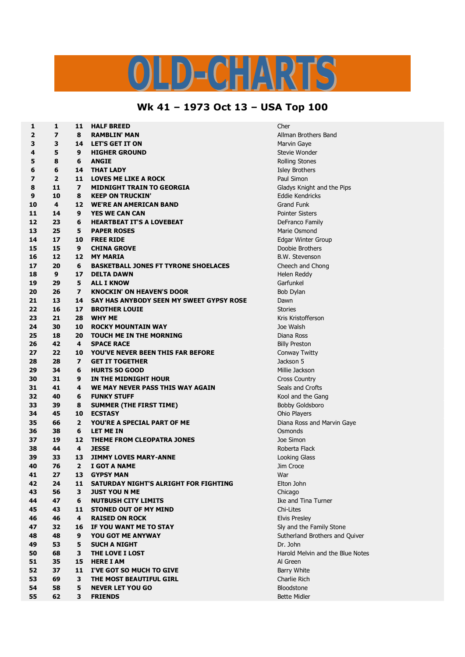## $\frac{1}{2}$   $\sqrt{2}$  $\boxed{C}$ N El

## **Wk 41 – 1973 Oct 13 – USA Top 100**

| 1              | 1                       | 11                      | <b>HALF BREED</b>                           | Cher                 |
|----------------|-------------------------|-------------------------|---------------------------------------------|----------------------|
| 2              | 7                       | 8                       | <b>RAMBLIN' MAN</b>                         | <b>Allman Brot</b>   |
| 3              | 3                       | 14                      | <b>LET'S GET IT ON</b>                      | Marvin Gay           |
| 4              | 5                       | 9                       | <b>HIGHER GROUND</b>                        | Stevie Won           |
| 5              | 8                       | 6                       | <b>ANGIE</b>                                | <b>Rolling Stor</b>  |
| 6              | 6                       | 14                      | <b>THAT LADY</b>                            | <b>Isley Brothe</b>  |
| $\overline{ }$ | $\overline{\mathbf{2}}$ | 11                      | <b>LOVES ME LIKE A ROCK</b>                 | Paul Simon           |
| 8              | 11                      | $\overline{ }$          | <b>MIDNIGHT TRAIN TO GEORGIA</b>            | Gladys Knig          |
| 9              | 10                      | 8                       | <b>KEEP ON TRUCKIN'</b>                     | Eddie Kend           |
| 10             | 4                       | 12                      | <b>WE'RE AN AMERICAN BAND</b>               | Grand Funk           |
| 11             | 14                      | 9                       | <b>YES WE CAN CAN</b>                       | <b>Pointer Sist</b>  |
| 12             | 23                      | 6                       | <b>HEARTBEAT IT'S A LOVEBEAT</b>            | DeFranco F           |
| 13             | 25                      | 5                       | <b>PAPER ROSES</b>                          | Marie Osmo           |
| 14             | 17                      | 10                      | <b>FREE RIDE</b>                            | Edgar Wint           |
| 15             | 15                      | 9                       | <b>CHINA GROVE</b>                          | Doobie Brot          |
| 16             | 12                      | 12                      | <b>MY MARIA</b>                             | <b>B.W. Stever</b>   |
| 17             | 20                      | 6                       | <b>BASKETBALL JONES FT TYRONE SHOELACES</b> | Cheech and           |
| 18             | 9                       | 17                      | <b>DELTA DAWN</b>                           | Helen Redd           |
|                | 29                      | 5                       | <b>ALL I KNOW</b>                           |                      |
| 19<br>20       | 26                      | $\overline{ }$          | <b>KNOCKIN' ON HEAVEN'S DOOR</b>            | Garfunkel            |
|                |                         |                         |                                             | Bob Dylan            |
| 21             | 13                      | 14                      | SAY HAS ANYBODY SEEN MY SWEET GYPSY ROSE    | Dawn                 |
| 22             | 16                      | 17                      | <b>BROTHER LOUIE</b>                        | <b>Stories</b>       |
| 23             | 21                      | 28                      | <b>WHY ME</b>                               | Kris Kristoff        |
| 24             | 30                      | 10                      | <b>ROCKY MOUNTAIN WAY</b>                   | Joe Walsh            |
| 25             | 18                      | 20                      | <b>TOUCH ME IN THE MORNING</b>              | Diana Ross           |
| 26             | 42                      | 4                       | <b>SPACE RACE</b>                           | <b>Billy Prestor</b> |
| 27             | 22                      | 10                      | YOU'VE NEVER BEEN THIS FAR BEFORE           | Conway Tw            |
| 28             | 28                      | $\overline{\mathbf{z}}$ | <b>GET IT TOGETHER</b>                      | Jackson 5            |
| 29             | 34                      | 6                       | <b>HURTS SO GOOD</b>                        | Millie Jacks         |
| 30             | 31                      | 9                       | IN THE MIDNIGHT HOUR                        | Cross Coun           |
| 31             | 41                      | 4                       | WE MAY NEVER PASS THIS WAY AGAIN            | Seals and C          |
| 32             | 40                      | 6                       | <b>FUNKY STUFF</b>                          | Kool and th          |
| 33             | 39                      | 8                       | <b>SUMMER (THE FIRST TIME)</b>              | <b>Bobby Gold</b>    |
| 34             | 45                      | 10                      | <b>ECSTASY</b>                              | Ohio Player          |
| 35             | 66                      | $\overline{2}$          | YOU'RE A SPECIAL PART OF ME                 | Diana Ross           |
| 36             | 38                      | 6                       | LET ME IN                                   | Osmonds              |
| 37             | 19                      | 12                      | <b>THEME FROM CLEOPATRA JONES</b>           | Joe Simon            |
| 38             | 44                      | 4                       | <b>JESSE</b>                                | Roberta Fla          |
| 39             | 33                      | 13                      | <b>JIMMY LOVES MARY-ANNE</b>                | Looking Gla          |
| 40             | 76                      | 2                       | I GOT A NAME                                | Jim Croce            |
| 41             | 27                      | 13                      | <b>GYPSY MAN</b>                            | War                  |
| 42             | 24                      | 11                      | SATURDAY NIGHT'S ALRIGHT FOR FIGHTING       | Elton John           |
| 43             | 56                      | 3                       | <b>JUST YOU N ME</b>                        | Chicago              |
| 44             | 47                      | 6                       | <b>NUTBUSH CITY LIMITS</b>                  | Ike and Tin          |
| 45             | 43                      | 11                      | <b>STONED OUT OF MY MIND</b>                | Chi-Lites            |
| 46             | 46                      | 4                       | <b>RAISED ON ROCK</b>                       | <b>Elvis Presle</b>  |
| 47             | 32                      | 16                      | IF YOU WANT ME TO STAY                      | Sly and the          |
| 48             | 48                      | 9                       | YOU GOT ME ANYWAY                           | Sutherland           |
| 49             | 53                      | 5                       | <b>SUCH A NIGHT</b>                         | Dr. John             |
| 50             | 68                      | 3                       | THE LOVE I LOST                             | Harold Mely          |
| 51             | 35                      | 15                      | <b>HERE I AM</b>                            | Al Green             |
| 52             | 37                      | 11                      | I'VE GOT SO MUCH TO GIVE                    | <b>Barry White</b>   |
| 53             | 69                      | 3                       | THE MOST BEAUTIFUL GIRL                     | Charlie Rich         |
| 54             | 58                      | 5                       | <b>NEVER LET YOU GO</b>                     | Bloodstone           |
| 55             | 62                      | 3                       | <b>FRIENDS</b>                              | <b>Bette Midle</b>   |
|                |                         |                         |                                             |                      |

**2 7 8 RAMBLIN' MAN** Allman Brothers Band **Marvin Gaye Stevie Wonder Rolling Stones Isley Brothers Paul Simon 8 11 7 MIDNIGHT TRAIN TO GEORGIA** Gladys Knight and the Pips **Eddie Kendricks Pointer Sisters 12 DeFranco Family Marie Osmond 14 17 10 FREE RIDE** Edgar Winter Group **Doobie Brothers 16 12 12 MY MARIA** B.W. Stevenson **2 Cheech and Chong Helen Reddy 23 21 28 WHY ME** Kris Kristofferson **25 18 20 TOUCH ME IN THE MORNING** Diana Ross **Billy Preston 27 22 10 YOU'VE NEVER BEEN THIS FAR BEFORE** Conway Twitty **Millie Jackson**  $Cross Country$ **Seals and Crofts Kool and the Gang Bobby Goldsboro 3** Ohio Players **Diana Ross and Marvin Gaye Joe Simon Roberta Flack Looking Glass**  $E$  **Leton John Ike and Tina Turner Elvis Presley Sly and the Family Stone 5** Sutherland Brothers and Quiver **50 68 3 THE LOVE I LOST** Harold Melvin and the Blue Notes **Barry White 53 69 3 THE MOST BEAUTIFUL GIRL** Charlie Rich **Bloodstone Bette Midler**